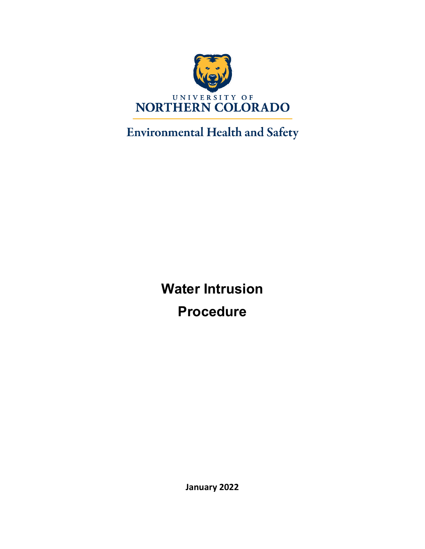

# **Environmental Health and Safety**

**Water Intrusion Procedure**

**January 2022**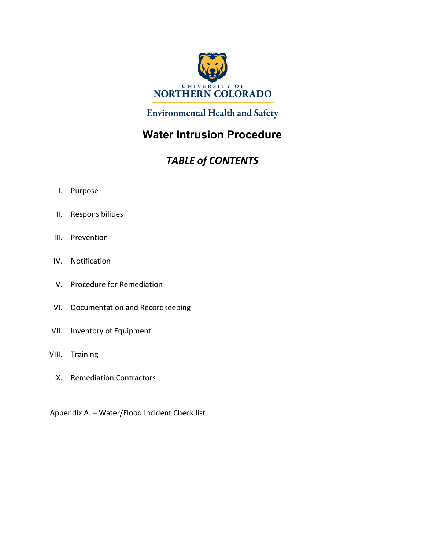

### **Environmental Health and Safety**

### **Water Intrusion Procedure**

### *TABLE of CONTENTS*

- I. Purpose
- II. Responsibilities
- III. Prevention
- IV. Notification
- V. Procedure for Remediation
- VI. Documentation and Recordkeeping
- VII. Inventory of Equipment
- VIII. Training
	- IX. Remediation Contractors

Appendix A. – Water/Flood Incident Check list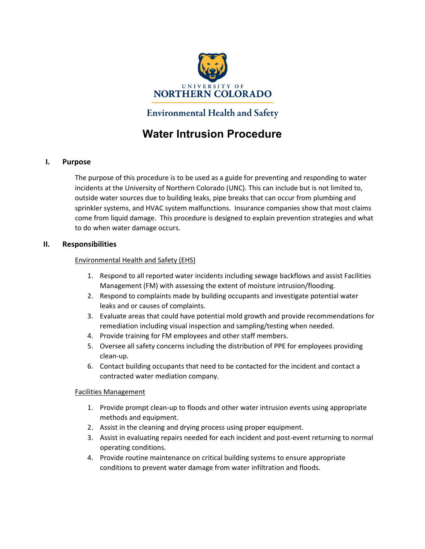

### **Environmental Health and Safety**

### **Water Intrusion Procedure**

#### **I. Purpose**

The purpose of this procedure is to be used as a guide for preventing and responding to water incidents at the University of Northern Colorado (UNC). This can include but is not limited to, outside water sources due to building leaks, pipe breaks that can occur from plumbing and sprinkler systems, and HVAC system malfunctions. Insurance companies show that most claims come from liquid damage. This procedure is designed to explain prevention strategies and what to do when water damage occurs.

#### **II. Responsibilities**

#### Environmental Health and Safety (EHS)

- 1. Respond to all reported water incidents including sewage backflows and assist Facilities Management (FM) with assessing the extent of moisture intrusion/flooding.
- 2. Respond to complaints made by building occupants and investigate potential water leaks and or causes of complaints.
- 3. Evaluate areas that could have potential mold growth and provide recommendations for remediation including visual inspection and sampling/testing when needed.
- 4. Provide training for FM employees and other staff members.
- 5. Oversee all safety concerns including the distribution of PPE for employees providing clean-up.
- 6. Contact building occupants that need to be contacted for the incident and contact a contracted water mediation company.

#### Facilities Management

- 1. Provide prompt clean-up to floods and other water intrusion events using appropriate methods and equipment.
- 2. Assist in the cleaning and drying process using proper equipment.
- 3. Assist in evaluating repairs needed for each incident and post-event returning to normal operating conditions.
- 4. Provide routine maintenance on critical building systems to ensure appropriate conditions to prevent water damage from water infiltration and floods.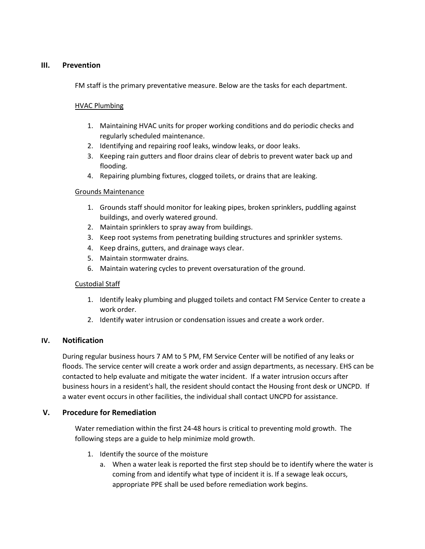#### **III. Prevention**

FM staff is the primary preventative measure. Below are the tasks for each department.

#### HVAC Plumbing

- 1. Maintaining HVAC units for proper working conditions and do periodic checks and regularly scheduled maintenance.
- 2. Identifying and repairing roof leaks, window leaks, or door leaks.
- 3. Keeping rain gutters and floor drains clear of debris to prevent water back up and flooding.
- 4. Repairing plumbing fixtures, clogged toilets, or drains that are leaking.

#### Grounds Maintenance

- 1. Grounds staff should monitor for leaking pipes, broken sprinklers, puddling against buildings, and overly watered ground.
- 2. Maintain sprinklers to spray away from buildings.
- 3. Keep root systems from penetrating building structures and sprinkler systems.
- 4. Keep drains, gutters, and drainage ways clear.
- 5. Maintain stormwater drains.
- 6. Maintain watering cycles to prevent oversaturation of the ground.

#### Custodial Staff

- 1. Identify leaky plumbing and plugged toilets and contact FM Service Center to create a work order.
- 2. Identify water intrusion or condensation issues and create a work order.

#### **IV. Notification**

During regular business hours 7 AM to 5 PM, FM Service Center will be notified of any leaks or floods. The service center will create a work order and assign departments, as necessary. EHS can be contacted to help evaluate and mitigate the water incident. If a water intrusion occurs after business hours in a resident's hall, the resident should contact the Housing front desk or UNCPD. If a water event occurs in other facilities, the individual shall contact UNCPD for assistance.

#### **V. Procedure for Remediation**

Water remediation within the first 24-48 hours is critical to preventing mold growth. The following steps are a guide to help minimize mold growth.

- 1. Identify the source of the moisture
	- a. When a water leak is reported the first step should be to identify where the water is coming from and identify what type of incident it is. If a sewage leak occurs, appropriate PPE shall be used before remediation work begins.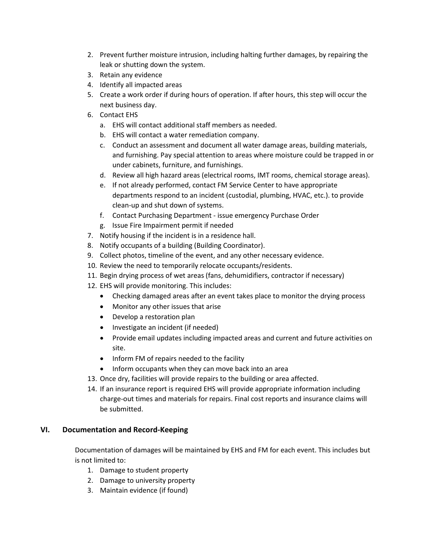- 2. Prevent further moisture intrusion, including halting further damages, by repairing the leak or shutting down the system.
- 3. Retain any evidence
- 4. Identify all impacted areas
- 5. Create a work order if during hours of operation. If after hours, this step will occur the next business day.
- 6. Contact EHS
	- a. EHS will contact additional staff members as needed.
	- b. EHS will contact a water remediation company.
	- c. Conduct an assessment and document all water damage areas, building materials, and furnishing. Pay special attention to areas where moisture could be trapped in or under cabinets, furniture, and furnishings.
	- d. Review all high hazard areas (electrical rooms, IMT rooms, chemical storage areas).
	- e. If not already performed, contact FM Service Center to have appropriate departments respond to an incident (custodial, plumbing, HVAC, etc.). to provide clean-up and shut down of systems.
	- f. Contact Purchasing Department issue emergency Purchase Order
	- g. Issue Fire Impairment permit if needed
- 7. Notify housing if the incident is in a residence hall.
- 8. Notify occupants of a building (Building Coordinator).
- 9. Collect photos, timeline of the event, and any other necessary evidence.
- 10. Review the need to temporarily relocate occupants/residents.
- 11. Begin drying process of wet areas (fans, dehumidifiers, contractor if necessary)
- 12. EHS will provide monitoring. This includes:
	- Checking damaged areas after an event takes place to monitor the drying process
	- Monitor any other issues that arise
	- Develop a restoration plan
	- Investigate an incident (if needed)
	- Provide email updates including impacted areas and current and future activities on site.
	- Inform FM of repairs needed to the facility
	- Inform occupants when they can move back into an area
- 13. Once dry, facilities will provide repairs to the building or area affected.
- 14. If an insurance report is required EHS will provide appropriate information including charge-out times and materials for repairs. Final cost reports and insurance claims will be submitted.

#### **VI. Documentation and Record-Keeping**

Documentation of damages will be maintained by EHS and FM for each event. This includes but is not limited to:

- 1. Damage to student property
- 2. Damage to university property
- 3. Maintain evidence (if found)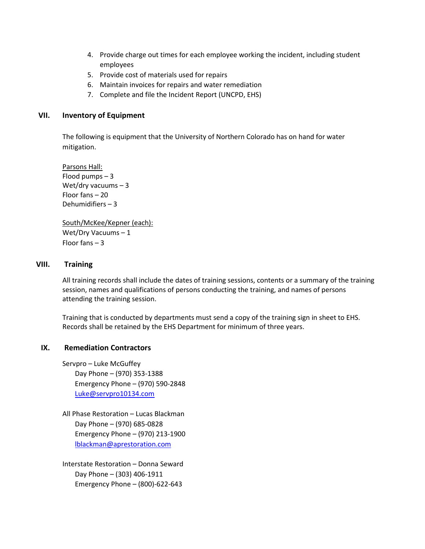- 4. Provide charge out times for each employee working the incident, including student employees
- 5. Provide cost of materials used for repairs
- 6. Maintain invoices for repairs and water remediation
- 7. Complete and file the Incident Report (UNCPD, EHS)

#### **VII. Inventory of Equipment**

The following is equipment that the University of Northern Colorado has on hand for water mitigation.

Parsons Hall: Flood pumps – 3 Wet/dry vacuums  $-3$ Floor fans – 20 Dehumidifiers – 3

South/McKee/Kepner (each): Wet/Dry Vacuums – 1 Floor fans – 3

#### **VIII. Training**

All training records shall include the dates of training sessions, contents or a summary of the training session, names and qualifications of persons conducting the training, and names of persons attending the training session.

Training that is conducted by departments must send a copy of the training sign in sheet to EHS. Records shall be retained by the EHS Department for minimum of three years.

#### **IX. Remediation Contractors**

Servpro – Luke McGuffey Day Phone – (970) 353-1388 Emergency Phone – (970) 590-2848 [Luke@servpro10134.com](mailto:Luke@servpro10134.com)

All Phase Restoration – Lucas Blackman Day Phone – (970) 685-0828 Emergency Phone – (970) 213-1900 [lblackman@aprestoration.com](mailto:lblackman@aprestoration.com)

Interstate Restoration – Donna Seward Day Phone – (303) 406-1911 Emergency Phone – (800)-622-643